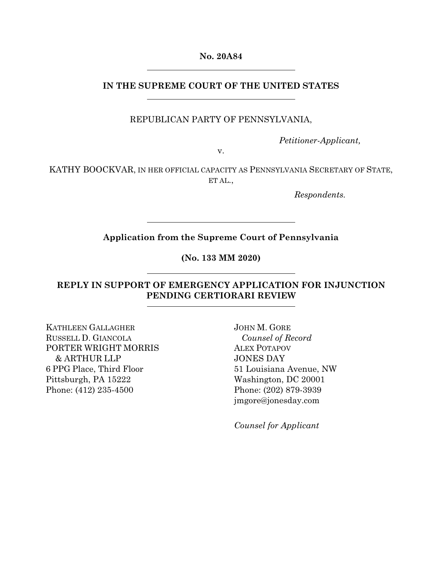**No. 20A84** 

## **IN THE SUPREME COURT OF THE UNITED STATES**

REPUBLICAN PARTY OF PENNSYLVANIA,

*Petitioner-Applicant,* 

v.

KATHY BOOCKVAR, IN HER OFFICIAL CAPACITY AS PENNSYLVANIA SECRETARY OF STATE, ET AL.,

*Respondents.* 

## **Application from the Supreme Court of Pennsylvania**

**(No. 133 MM 2020)** 

## **REPLY IN SUPPORT OF EMERGENCY APPLICATION FOR INJUNCTION PENDING CERTIORARI REVIEW**

KATHLEEN GALLAGHER RUSSELL D. GIANCOLA PORTER WRIGHT MORRIS & ARTHUR LLP 6 PPG Place, Third Floor Pittsburgh, PA 15222 Phone: (412) 235-4500

JOHN M. GORE *Counsel of Record*  ALEX POTAPOV JONES DAY 51 Louisiana Avenue, NW Washington, DC 20001 Phone: (202) 879-3939 jmgore@jonesday.com

*Counsel for Applicant*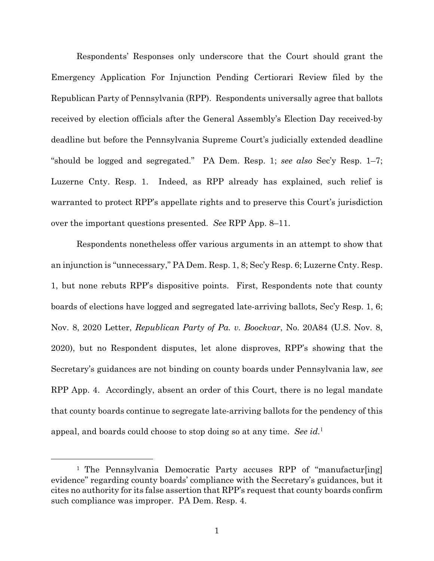Respondents' Responses only underscore that the Court should grant the Emergency Application For Injunction Pending Certiorari Review filed by the Republican Party of Pennsylvania (RPP). Respondents universally agree that ballots received by election officials after the General Assembly's Election Day received-by deadline but before the Pennsylvania Supreme Court's judicially extended deadline "should be logged and segregated." PA Dem. Resp. 1; *see also* Sec'y Resp. 1–7; Luzerne Cnty. Resp. 1. Indeed, as RPP already has explained, such relief is warranted to protect RPP's appellate rights and to preserve this Court's jurisdiction over the important questions presented. *See* RPP App. 8–11.

Respondents nonetheless offer various arguments in an attempt to show that an injunction is "unnecessary," PA Dem. Resp. 1, 8; Sec'y Resp. 6; Luzerne Cnty. Resp. 1, but none rebuts RPP's dispositive points. First, Respondents note that county boards of elections have logged and segregated late-arriving ballots, Sec'y Resp. 1, 6; Nov. 8, 2020 Letter, *Republican Party of Pa. v. Boockvar*, No. 20A84 (U.S. Nov. 8, 2020), but no Respondent disputes, let alone disproves, RPP's showing that the Secretary's guidances are not binding on county boards under Pennsylvania law, *see* RPP App. 4. Accordingly, absent an order of this Court, there is no legal mandate that county boards continue to segregate late-arriving ballots for the pendency of this appeal, and boards could choose to stop doing so at any time. *See id.*<sup>1</sup>

 $\overline{a}$ 

<sup>&</sup>lt;sup>1</sup> The Pennsylvania Democratic Party accuses RPP of "manufactur[ing] evidence" regarding county boards' compliance with the Secretary's guidances, but it cites no authority for its false assertion that RPP's request that county boards confirm such compliance was improper. PA Dem. Resp. 4.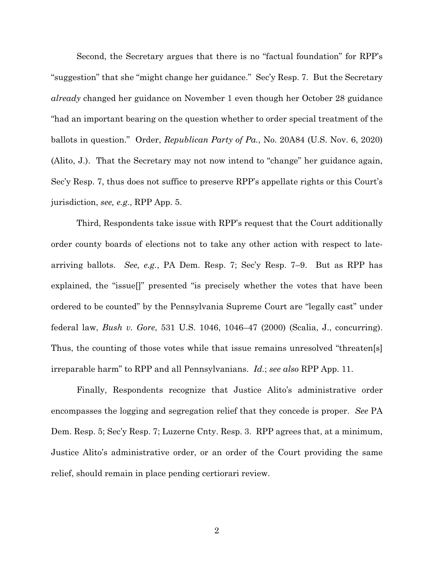Second, the Secretary argues that there is no "factual foundation" for RPP's "suggestion" that she "might change her guidance." Sec'y Resp. 7. But the Secretary *already* changed her guidance on November 1 even though her October 28 guidance "had an important bearing on the question whether to order special treatment of the ballots in question." Order, *Republican Party of Pa.*, No. 20A84 (U.S. Nov. 6, 2020) (Alito, J.). That the Secretary may not now intend to "change" her guidance again, Sec'y Resp. 7, thus does not suffice to preserve RPP's appellate rights or this Court's jurisdiction, *see, e.g.*, RPP App. 5.

Third, Respondents take issue with RPP's request that the Court additionally order county boards of elections not to take any other action with respect to latearriving ballots. *See, e.g.*, PA Dem. Resp. 7; Sec'y Resp. 7–9. But as RPP has explained, the "issue[]" presented "is precisely whether the votes that have been ordered to be counted" by the Pennsylvania Supreme Court are "legally cast" under federal law, *Bush v. Gore*, 531 U.S. 1046, 1046–47 (2000) (Scalia, J., concurring). Thus, the counting of those votes while that issue remains unresolved "threaten[s] irreparable harm" to RPP and all Pennsylvanians. *Id.*; *see also* RPP App. 11.

Finally, Respondents recognize that Justice Alito's administrative order encompasses the logging and segregation relief that they concede is proper. *See* PA Dem. Resp. 5; Sec'y Resp. 7; Luzerne Cnty. Resp. 3. RPP agrees that, at a minimum, Justice Alito's administrative order, or an order of the Court providing the same relief, should remain in place pending certiorari review.